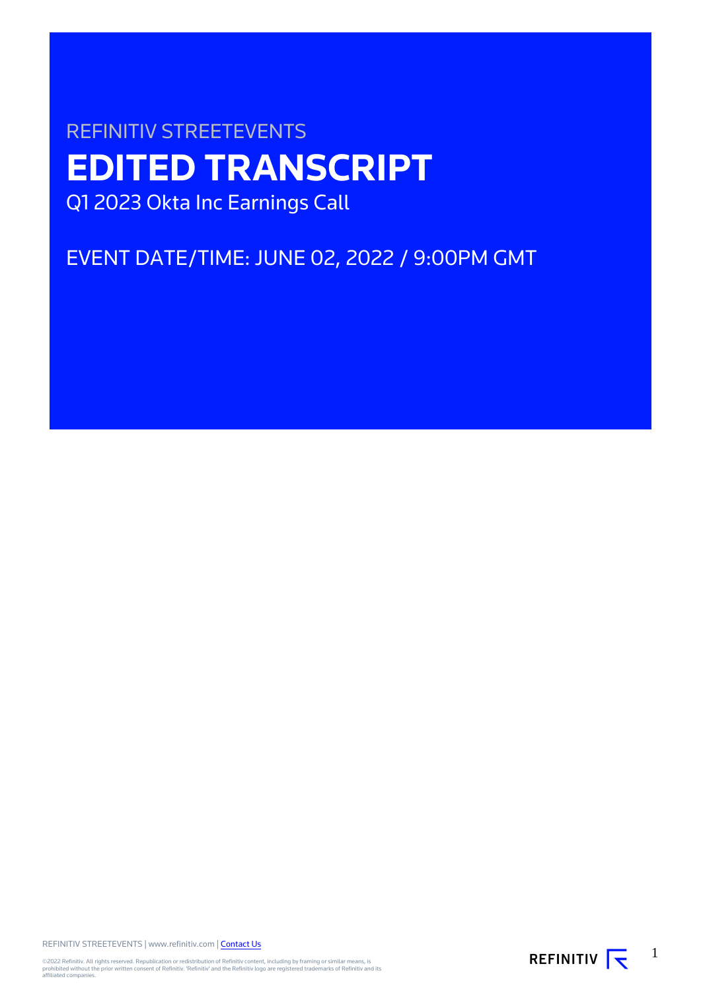# REFINITIV STREETEVENTS **EDITED TRANSCRIPT** Q1 2023 Okta Inc Earnings Call

EVENT DATE/TIME: JUNE 02, 2022 / 9:00PM GMT

REFINITIV STREETEVENTS | www.refinitiv.com | [Contact Us](https://www.refinitiv.com/en/contact-us)

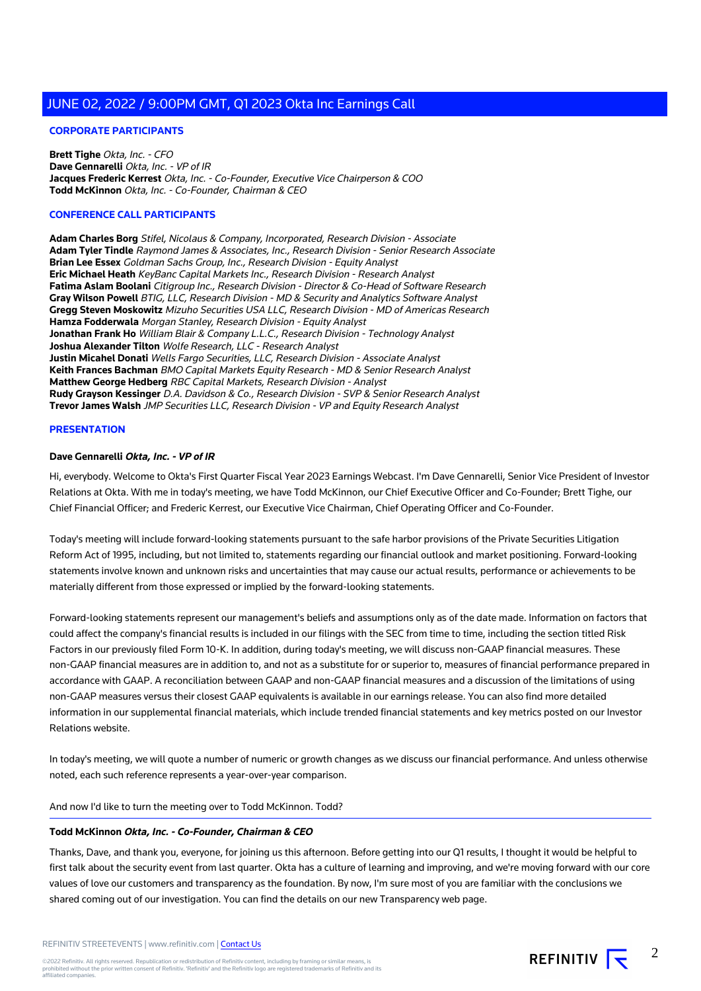# **CORPORATE PARTICIPANTS**

**Brett Tighe** Okta, Inc. - CFO **Dave Gennarelli** Okta, Inc. - VP of IR **Jacques Frederic Kerrest** Okta, Inc. - Co-Founder, Executive Vice Chairperson & COO **Todd McKinnon** Okta, Inc. - Co-Founder, Chairman & CEO

#### **CONFERENCE CALL PARTICIPANTS**

**Adam Charles Borg** Stifel, Nicolaus & Company, Incorporated, Research Division - Associate **Adam Tyler Tindle** Raymond James & Associates, Inc., Research Division - Senior Research Associate **Brian Lee Essex** Goldman Sachs Group, Inc., Research Division - Equity Analyst **Eric Michael Heath** KeyBanc Capital Markets Inc., Research Division - Research Analyst **Fatima Aslam Boolani** Citigroup Inc., Research Division - Director & Co-Head of Software Research **Gray Wilson Powell** BTIG, LLC, Research Division - MD & Security and Analytics Software Analyst **Gregg Steven Moskowitz** Mizuho Securities USA LLC, Research Division - MD of Americas Research **Hamza Fodderwala** Morgan Stanley, Research Division - Equity Analyst **Jonathan Frank Ho** William Blair & Company L.L.C., Research Division - Technology Analyst **Joshua Alexander Tilton** Wolfe Research, LLC - Research Analyst **Justin Micahel Donati** Wells Fargo Securities, LLC, Research Division - Associate Analyst **Keith Frances Bachman** BMO Capital Markets Equity Research - MD & Senior Research Analyst **Matthew George Hedberg** RBC Capital Markets, Research Division - Analyst **Rudy Grayson Kessinger** D.A. Davidson & Co., Research Division - SVP & Senior Research Analyst **Trevor James Walsh** JMP Securities LLC, Research Division - VP and Equity Research Analyst

#### **PRESENTATION**

#### **Dave Gennarelli Okta, Inc. - VP of IR**

Hi, everybody. Welcome to Okta's First Quarter Fiscal Year 2023 Earnings Webcast. I'm Dave Gennarelli, Senior Vice President of Investor Relations at Okta. With me in today's meeting, we have Todd McKinnon, our Chief Executive Officer and Co-Founder; Brett Tighe, our Chief Financial Officer; and Frederic Kerrest, our Executive Vice Chairman, Chief Operating Officer and Co-Founder.

Today's meeting will include forward-looking statements pursuant to the safe harbor provisions of the Private Securities Litigation Reform Act of 1995, including, but not limited to, statements regarding our financial outlook and market positioning. Forward-looking statements involve known and unknown risks and uncertainties that may cause our actual results, performance or achievements to be materially different from those expressed or implied by the forward-looking statements.

Forward-looking statements represent our management's beliefs and assumptions only as of the date made. Information on factors that could affect the company's financial results is included in our filings with the SEC from time to time, including the section titled Risk Factors in our previously filed Form 10-K. In addition, during today's meeting, we will discuss non-GAAP financial measures. These non-GAAP financial measures are in addition to, and not as a substitute for or superior to, measures of financial performance prepared in accordance with GAAP. A reconciliation between GAAP and non-GAAP financial measures and a discussion of the limitations of using non-GAAP measures versus their closest GAAP equivalents is available in our earnings release. You can also find more detailed information in our supplemental financial materials, which include trended financial statements and key metrics posted on our Investor Relations website.

In today's meeting, we will quote a number of numeric or growth changes as we discuss our financial performance. And unless otherwise noted, each such reference represents a year-over-year comparison.

#### And now I'd like to turn the meeting over to Todd McKinnon. Todd?

#### **Todd McKinnon Okta, Inc. - Co-Founder, Chairman & CEO**

Thanks, Dave, and thank you, everyone, for joining us this afternoon. Before getting into our Q1 results, I thought it would be helpful to first talk about the security event from last quarter. Okta has a culture of learning and improving, and we're moving forward with our core values of love our customers and transparency as the foundation. By now, I'm sure most of you are familiar with the conclusions we shared coming out of our investigation. You can find the details on our new Transparency web page.

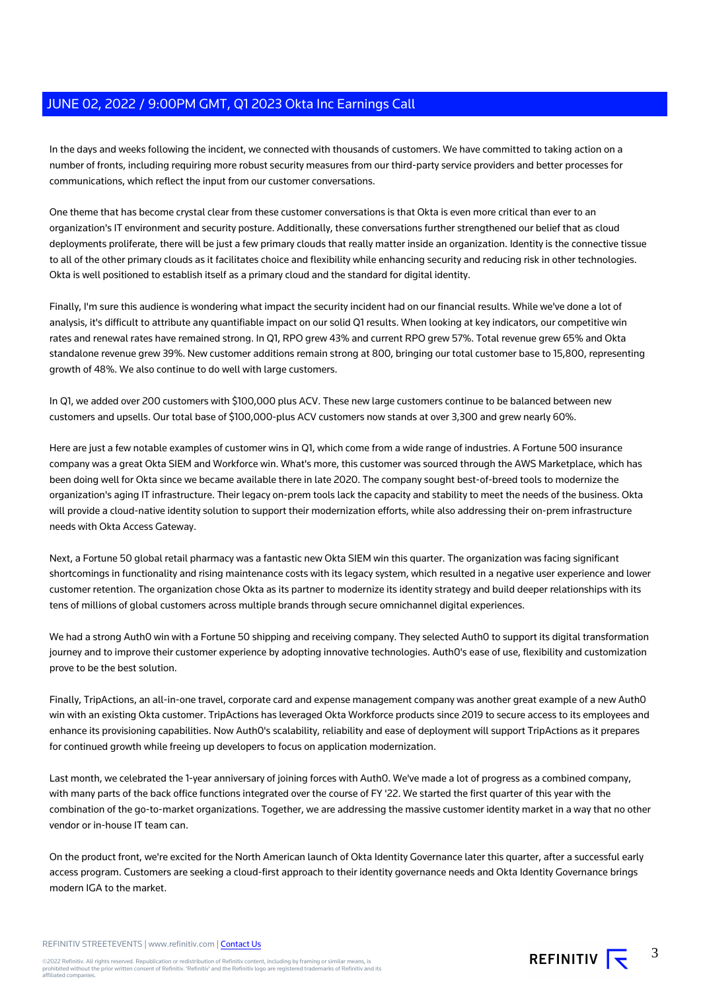In the days and weeks following the incident, we connected with thousands of customers. We have committed to taking action on a number of fronts, including requiring more robust security measures from our third-party service providers and better processes for communications, which reflect the input from our customer conversations.

One theme that has become crystal clear from these customer conversations is that Okta is even more critical than ever to an organization's IT environment and security posture. Additionally, these conversations further strengthened our belief that as cloud deployments proliferate, there will be just a few primary clouds that really matter inside an organization. Identity is the connective tissue to all of the other primary clouds as it facilitates choice and flexibility while enhancing security and reducing risk in other technologies. Okta is well positioned to establish itself as a primary cloud and the standard for digital identity.

Finally, I'm sure this audience is wondering what impact the security incident had on our financial results. While we've done a lot of analysis, it's difficult to attribute any quantifiable impact on our solid Q1 results. When looking at key indicators, our competitive win rates and renewal rates have remained strong. In Q1, RPO grew 43% and current RPO grew 57%. Total revenue grew 65% and Okta standalone revenue grew 39%. New customer additions remain strong at 800, bringing our total customer base to 15,800, representing growth of 48%. We also continue to do well with large customers.

In Q1, we added over 200 customers with \$100,000 plus ACV. These new large customers continue to be balanced between new customers and upsells. Our total base of \$100,000-plus ACV customers now stands at over 3,300 and grew nearly 60%.

Here are just a few notable examples of customer wins in Q1, which come from a wide range of industries. A Fortune 500 insurance company was a great Okta SIEM and Workforce win. What's more, this customer was sourced through the AWS Marketplace, which has been doing well for Okta since we became available there in late 2020. The company sought best-of-breed tools to modernize the organization's aging IT infrastructure. Their legacy on-prem tools lack the capacity and stability to meet the needs of the business. Okta will provide a cloud-native identity solution to support their modernization efforts, while also addressing their on-prem infrastructure needs with Okta Access Gateway.

Next, a Fortune 50 global retail pharmacy was a fantastic new Okta SIEM win this quarter. The organization was facing significant shortcomings in functionality and rising maintenance costs with its legacy system, which resulted in a negative user experience and lower customer retention. The organization chose Okta as its partner to modernize its identity strategy and build deeper relationships with its tens of millions of global customers across multiple brands through secure omnichannel digital experiences.

We had a strong Auth0 win with a Fortune 50 shipping and receiving company. They selected Auth0 to support its digital transformation journey and to improve their customer experience by adopting innovative technologies. Auth0's ease of use, flexibility and customization prove to be the best solution.

Finally, TripActions, an all-in-one travel, corporate card and expense management company was another great example of a new Auth0 win with an existing Okta customer. TripActions has leveraged Okta Workforce products since 2019 to secure access to its employees and enhance its provisioning capabilities. Now Auth0's scalability, reliability and ease of deployment will support TripActions as it prepares for continued growth while freeing up developers to focus on application modernization.

Last month, we celebrated the 1-year anniversary of joining forces with Auth0. We've made a lot of progress as a combined company, with many parts of the back office functions integrated over the course of FY '22. We started the first quarter of this year with the combination of the go-to-market organizations. Together, we are addressing the massive customer identity market in a way that no other vendor or in-house IT team can.

On the product front, we're excited for the North American launch of Okta Identity Governance later this quarter, after a successful early access program. Customers are seeking a cloud-first approach to their identity governance needs and Okta Identity Governance brings modern IGA to the market.

REFINITIV STREETEVENTS | www.refinitiv.com | [Contact Us](https://www.refinitiv.com/en/contact-us)

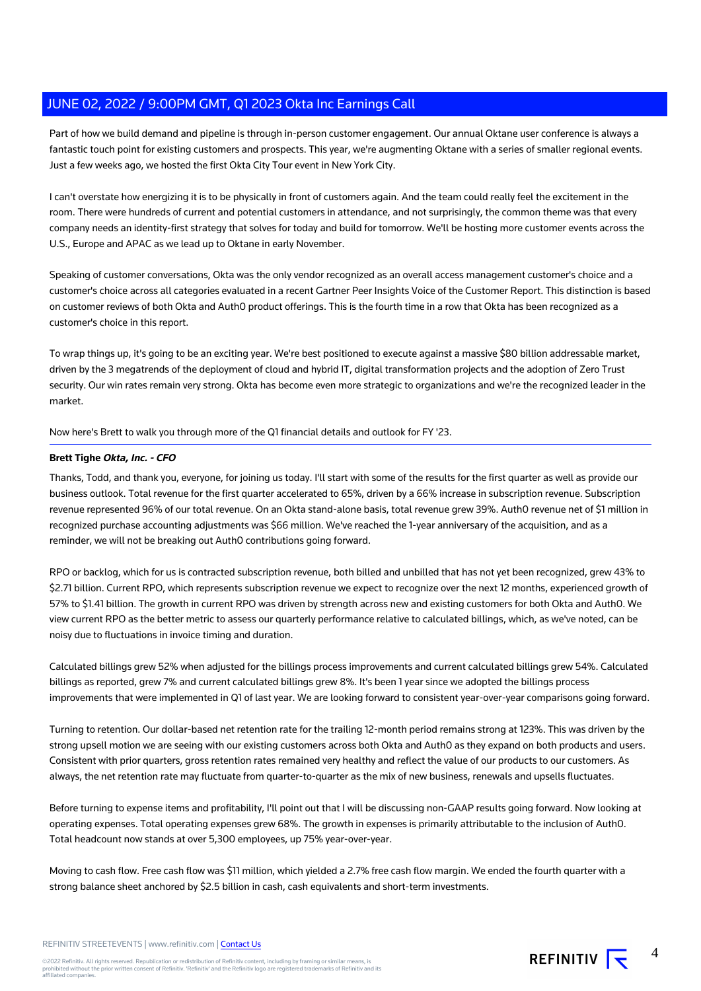Part of how we build demand and pipeline is through in-person customer engagement. Our annual Oktane user conference is always a fantastic touch point for existing customers and prospects. This year, we're augmenting Oktane with a series of smaller regional events. Just a few weeks ago, we hosted the first Okta City Tour event in New York City.

I can't overstate how energizing it is to be physically in front of customers again. And the team could really feel the excitement in the room. There were hundreds of current and potential customers in attendance, and not surprisingly, the common theme was that every company needs an identity-first strategy that solves for today and build for tomorrow. We'll be hosting more customer events across the U.S., Europe and APAC as we lead up to Oktane in early November.

Speaking of customer conversations, Okta was the only vendor recognized as an overall access management customer's choice and a customer's choice across all categories evaluated in a recent Gartner Peer Insights Voice of the Customer Report. This distinction is based on customer reviews of both Okta and Auth0 product offerings. This is the fourth time in a row that Okta has been recognized as a customer's choice in this report.

To wrap things up, it's going to be an exciting year. We're best positioned to execute against a massive \$80 billion addressable market, driven by the 3 megatrends of the deployment of cloud and hybrid IT, digital transformation projects and the adoption of Zero Trust security. Our win rates remain very strong. Okta has become even more strategic to organizations and we're the recognized leader in the market.

Now here's Brett to walk you through more of the Q1 financial details and outlook for FY '23.

# **Brett Tighe Okta, Inc. - CFO**

Thanks, Todd, and thank you, everyone, for joining us today. I'll start with some of the results for the first quarter as well as provide our business outlook. Total revenue for the first quarter accelerated to 65%, driven by a 66% increase in subscription revenue. Subscription revenue represented 96% of our total revenue. On an Okta stand-alone basis, total revenue grew 39%. Auth0 revenue net of \$1 million in recognized purchase accounting adjustments was \$66 million. We've reached the 1-year anniversary of the acquisition, and as a reminder, we will not be breaking out Auth0 contributions going forward.

RPO or backlog, which for us is contracted subscription revenue, both billed and unbilled that has not yet been recognized, grew 43% to \$2.71 billion. Current RPO, which represents subscription revenue we expect to recognize over the next 12 months, experienced growth of 57% to \$1.41 billion. The growth in current RPO was driven by strength across new and existing customers for both Okta and Auth0. We view current RPO as the better metric to assess our quarterly performance relative to calculated billings, which, as we've noted, can be noisy due to fluctuations in invoice timing and duration.

Calculated billings grew 52% when adjusted for the billings process improvements and current calculated billings grew 54%. Calculated billings as reported, grew 7% and current calculated billings grew 8%. It's been 1 year since we adopted the billings process improvements that were implemented in Q1 of last year. We are looking forward to consistent year-over-year comparisons going forward.

Turning to retention. Our dollar-based net retention rate for the trailing 12-month period remains strong at 123%. This was driven by the strong upsell motion we are seeing with our existing customers across both Okta and Auth0 as they expand on both products and users. Consistent with prior quarters, gross retention rates remained very healthy and reflect the value of our products to our customers. As always, the net retention rate may fluctuate from quarter-to-quarter as the mix of new business, renewals and upsells fluctuates.

Before turning to expense items and profitability, I'll point out that I will be discussing non-GAAP results going forward. Now looking at operating expenses. Total operating expenses grew 68%. The growth in expenses is primarily attributable to the inclusion of Auth0. Total headcount now stands at over 5,300 employees, up 75% year-over-year.

Moving to cash flow. Free cash flow was \$11 million, which yielded a 2.7% free cash flow margin. We ended the fourth quarter with a strong balance sheet anchored by \$2.5 billion in cash, cash equivalents and short-term investments.

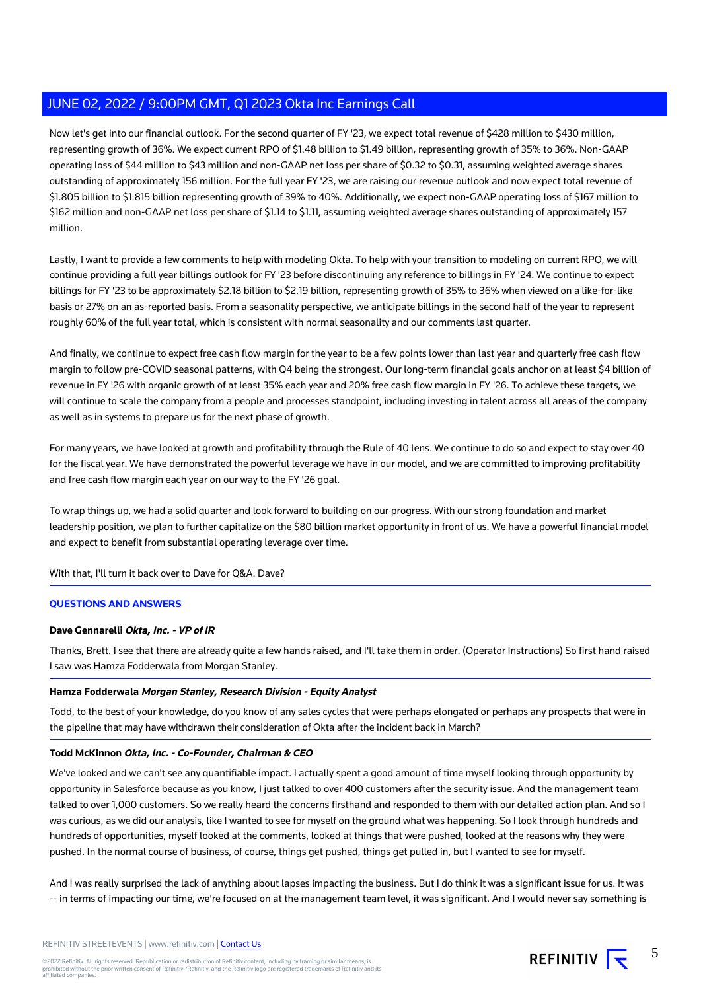Now let's get into our financial outlook. For the second quarter of FY '23, we expect total revenue of \$428 million to \$430 million, representing growth of 36%. We expect current RPO of \$1.48 billion to \$1.49 billion, representing growth of 35% to 36%. Non-GAAP operating loss of \$44 million to \$43 million and non-GAAP net loss per share of \$0.32 to \$0.31, assuming weighted average shares outstanding of approximately 156 million. For the full year FY '23, we are raising our revenue outlook and now expect total revenue of \$1.805 billion to \$1.815 billion representing growth of 39% to 40%. Additionally, we expect non-GAAP operating loss of \$167 million to \$162 million and non-GAAP net loss per share of \$1.14 to \$1.11, assuming weighted average shares outstanding of approximately 157 million.

Lastly, I want to provide a few comments to help with modeling Okta. To help with your transition to modeling on current RPO, we will continue providing a full year billings outlook for FY '23 before discontinuing any reference to billings in FY '24. We continue to expect billings for FY '23 to be approximately \$2.18 billion to \$2.19 billion, representing growth of 35% to 36% when viewed on a like-for-like basis or 27% on an as-reported basis. From a seasonality perspective, we anticipate billings in the second half of the year to represent roughly 60% of the full year total, which is consistent with normal seasonality and our comments last quarter.

And finally, we continue to expect free cash flow margin for the year to be a few points lower than last year and quarterly free cash flow margin to follow pre-COVID seasonal patterns, with Q4 being the strongest. Our long-term financial goals anchor on at least \$4 billion of revenue in FY '26 with organic growth of at least 35% each year and 20% free cash flow margin in FY '26. To achieve these targets, we will continue to scale the company from a people and processes standpoint, including investing in talent across all areas of the company as well as in systems to prepare us for the next phase of growth.

For many years, we have looked at growth and profitability through the Rule of 40 lens. We continue to do so and expect to stay over 40 for the fiscal year. We have demonstrated the powerful leverage we have in our model, and we are committed to improving profitability and free cash flow margin each year on our way to the FY '26 goal.

To wrap things up, we had a solid quarter and look forward to building on our progress. With our strong foundation and market leadership position, we plan to further capitalize on the \$80 billion market opportunity in front of us. We have a powerful financial model and expect to benefit from substantial operating leverage over time.

With that, I'll turn it back over to Dave for Q&A. Dave?

# **QUESTIONS AND ANSWERS**

# **Dave Gennarelli Okta, Inc. - VP of IR**

Thanks, Brett. I see that there are already quite a few hands raised, and I'll take them in order. (Operator Instructions) So first hand raised I saw was Hamza Fodderwala from Morgan Stanley.

# **Hamza Fodderwala Morgan Stanley, Research Division - Equity Analyst**

Todd, to the best of your knowledge, do you know of any sales cycles that were perhaps elongated or perhaps any prospects that were in the pipeline that may have withdrawn their consideration of Okta after the incident back in March?

# **Todd McKinnon Okta, Inc. - Co-Founder, Chairman & CEO**

We've looked and we can't see any quantifiable impact. I actually spent a good amount of time myself looking through opportunity by opportunity in Salesforce because as you know, I just talked to over 400 customers after the security issue. And the management team talked to over 1,000 customers. So we really heard the concerns firsthand and responded to them with our detailed action plan. And so I was curious, as we did our analysis, like I wanted to see for myself on the ground what was happening. So I look through hundreds and hundreds of opportunities, myself looked at the comments, looked at things that were pushed, looked at the reasons why they were pushed. In the normal course of business, of course, things get pushed, things get pulled in, but I wanted to see for myself.

And I was really surprised the lack of anything about lapses impacting the business. But I do think it was a significant issue for us. It was -- in terms of impacting our time, we're focused on at the management team level, it was significant. And I would never say something is

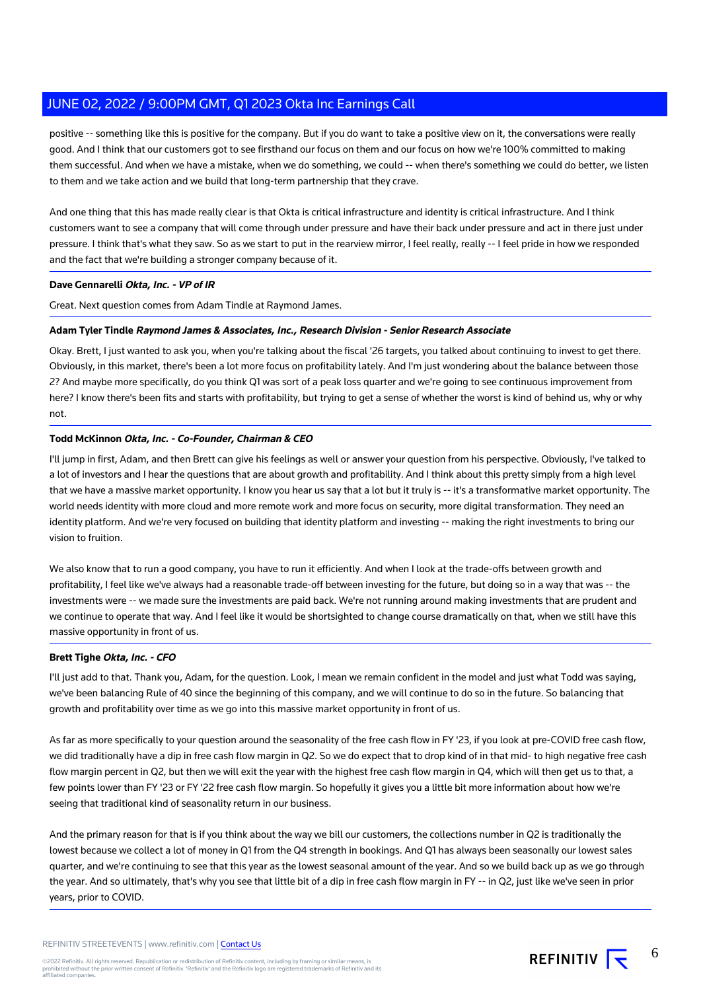positive -- something like this is positive for the company. But if you do want to take a positive view on it, the conversations were really good. And I think that our customers got to see firsthand our focus on them and our focus on how we're 100% committed to making them successful. And when we have a mistake, when we do something, we could -- when there's something we could do better, we listen to them and we take action and we build that long-term partnership that they crave.

And one thing that this has made really clear is that Okta is critical infrastructure and identity is critical infrastructure. And I think customers want to see a company that will come through under pressure and have their back under pressure and act in there just under pressure. I think that's what they saw. So as we start to put in the rearview mirror, I feel really, really -- I feel pride in how we responded and the fact that we're building a stronger company because of it.

#### **Dave Gennarelli Okta, Inc. - VP of IR**

Great. Next question comes from Adam Tindle at Raymond James.

#### **Adam Tyler Tindle Raymond James & Associates, Inc., Research Division - Senior Research Associate**

Okay. Brett, I just wanted to ask you, when you're talking about the fiscal '26 targets, you talked about continuing to invest to get there. Obviously, in this market, there's been a lot more focus on profitability lately. And I'm just wondering about the balance between those 2? And maybe more specifically, do you think Q1 was sort of a peak loss quarter and we're going to see continuous improvement from here? I know there's been fits and starts with profitability, but trying to get a sense of whether the worst is kind of behind us, why or why not.

# **Todd McKinnon Okta, Inc. - Co-Founder, Chairman & CEO**

I'll jump in first, Adam, and then Brett can give his feelings as well or answer your question from his perspective. Obviously, I've talked to a lot of investors and I hear the questions that are about growth and profitability. And I think about this pretty simply from a high level that we have a massive market opportunity. I know you hear us say that a lot but it truly is -- it's a transformative market opportunity. The world needs identity with more cloud and more remote work and more focus on security, more digital transformation. They need an identity platform. And we're very focused on building that identity platform and investing -- making the right investments to bring our vision to fruition.

We also know that to run a good company, you have to run it efficiently. And when I look at the trade-offs between growth and profitability, I feel like we've always had a reasonable trade-off between investing for the future, but doing so in a way that was -- the investments were -- we made sure the investments are paid back. We're not running around making investments that are prudent and we continue to operate that way. And I feel like it would be shortsighted to change course dramatically on that, when we still have this massive opportunity in front of us.

# **Brett Tighe Okta, Inc. - CFO**

I'll just add to that. Thank you, Adam, for the question. Look, I mean we remain confident in the model and just what Todd was saying, we've been balancing Rule of 40 since the beginning of this company, and we will continue to do so in the future. So balancing that growth and profitability over time as we go into this massive market opportunity in front of us.

As far as more specifically to your question around the seasonality of the free cash flow in FY '23, if you look at pre-COVID free cash flow, we did traditionally have a dip in free cash flow margin in Q2. So we do expect that to drop kind of in that mid- to high negative free cash flow margin percent in Q2, but then we will exit the year with the highest free cash flow margin in Q4, which will then get us to that, a few points lower than FY '23 or FY '22 free cash flow margin. So hopefully it gives you a little bit more information about how we're seeing that traditional kind of seasonality return in our business.

And the primary reason for that is if you think about the way we bill our customers, the collections number in Q2 is traditionally the lowest because we collect a lot of money in Q1 from the Q4 strength in bookings. And Q1 has always been seasonally our lowest sales quarter, and we're continuing to see that this year as the lowest seasonal amount of the year. And so we build back up as we go through the year. And so ultimately, that's why you see that little bit of a dip in free cash flow margin in FY -- in Q2, just like we've seen in prior years, prior to COVID.

#### REFINITIV STREETEVENTS | www.refinitiv.com | [Contact Us](https://www.refinitiv.com/en/contact-us)

©2022 Refinitiv. All rights reserved. Republication or redistribution of Refinitiv content, including by framing or similar means, is<br>prohibited without the prior written consent of Refinitiv. 'Refinitiv' and the Refinitiv affiliated companies.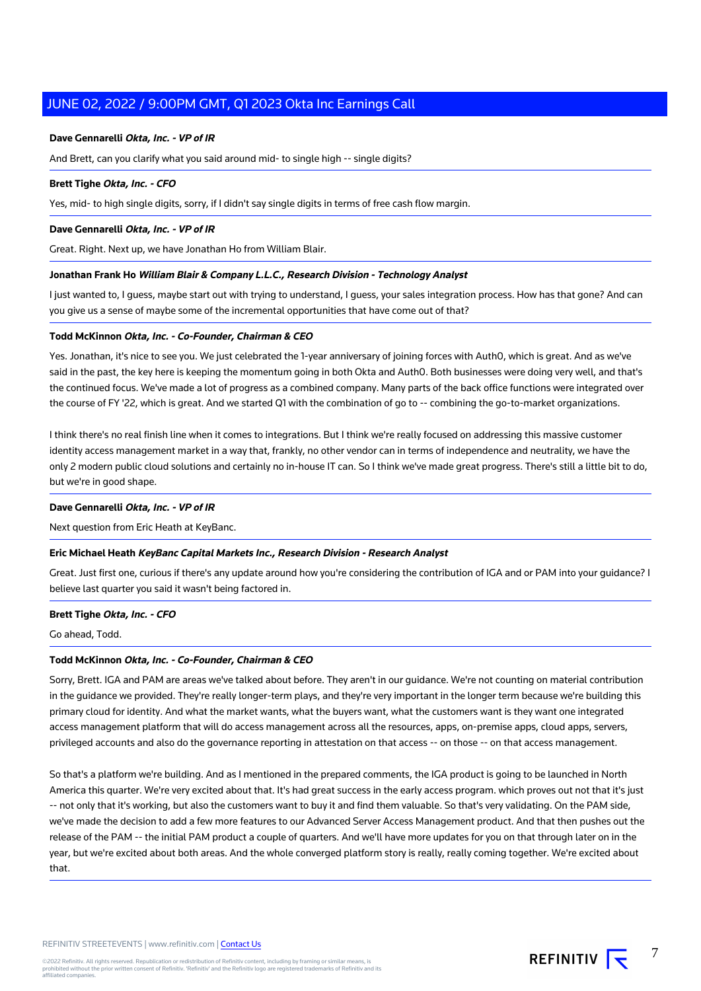#### **Dave Gennarelli Okta, Inc. - VP of IR**

And Brett, can you clarify what you said around mid- to single high -- single digits?

#### **Brett Tighe Okta, Inc. - CFO**

Yes, mid- to high single digits, sorry, if I didn't say single digits in terms of free cash flow margin.

#### **Dave Gennarelli Okta, Inc. - VP of IR**

Great. Right. Next up, we have Jonathan Ho from William Blair.

#### **Jonathan Frank Ho William Blair & Company L.L.C., Research Division - Technology Analyst**

I just wanted to, I guess, maybe start out with trying to understand, I guess, your sales integration process. How has that gone? And can you give us a sense of maybe some of the incremental opportunities that have come out of that?

#### **Todd McKinnon Okta, Inc. - Co-Founder, Chairman & CEO**

Yes. Jonathan, it's nice to see you. We just celebrated the 1-year anniversary of joining forces with Auth0, which is great. And as we've said in the past, the key here is keeping the momentum going in both Okta and Auth0. Both businesses were doing very well, and that's the continued focus. We've made a lot of progress as a combined company. Many parts of the back office functions were integrated over the course of FY '22, which is great. And we started Q1 with the combination of go to -- combining the go-to-market organizations.

I think there's no real finish line when it comes to integrations. But I think we're really focused on addressing this massive customer identity access management market in a way that, frankly, no other vendor can in terms of independence and neutrality, we have the only 2 modern public cloud solutions and certainly no in-house IT can. So I think we've made great progress. There's still a little bit to do, but we're in good shape.

#### **Dave Gennarelli Okta, Inc. - VP of IR**

Next question from Eric Heath at KeyBanc.

# **Eric Michael Heath KeyBanc Capital Markets Inc., Research Division - Research Analyst**

Great. Just first one, curious if there's any update around how you're considering the contribution of IGA and or PAM into your guidance? I believe last quarter you said it wasn't being factored in.

#### **Brett Tighe Okta, Inc. - CFO**

Go ahead, Todd.

#### **Todd McKinnon Okta, Inc. - Co-Founder, Chairman & CEO**

Sorry, Brett. IGA and PAM are areas we've talked about before. They aren't in our guidance. We're not counting on material contribution in the guidance we provided. They're really longer-term plays, and they're very important in the longer term because we're building this primary cloud for identity. And what the market wants, what the buyers want, what the customers want is they want one integrated access management platform that will do access management across all the resources, apps, on-premise apps, cloud apps, servers, privileged accounts and also do the governance reporting in attestation on that access -- on those -- on that access management.

So that's a platform we're building. And as I mentioned in the prepared comments, the IGA product is going to be launched in North America this quarter. We're very excited about that. It's had great success in the early access program. which proves out not that it's just -- not only that it's working, but also the customers want to buy it and find them valuable. So that's very validating. On the PAM side, we've made the decision to add a few more features to our Advanced Server Access Management product. And that then pushes out the release of the PAM -- the initial PAM product a couple of quarters. And we'll have more updates for you on that through later on in the year, but we're excited about both areas. And the whole converged platform story is really, really coming together. We're excited about that.

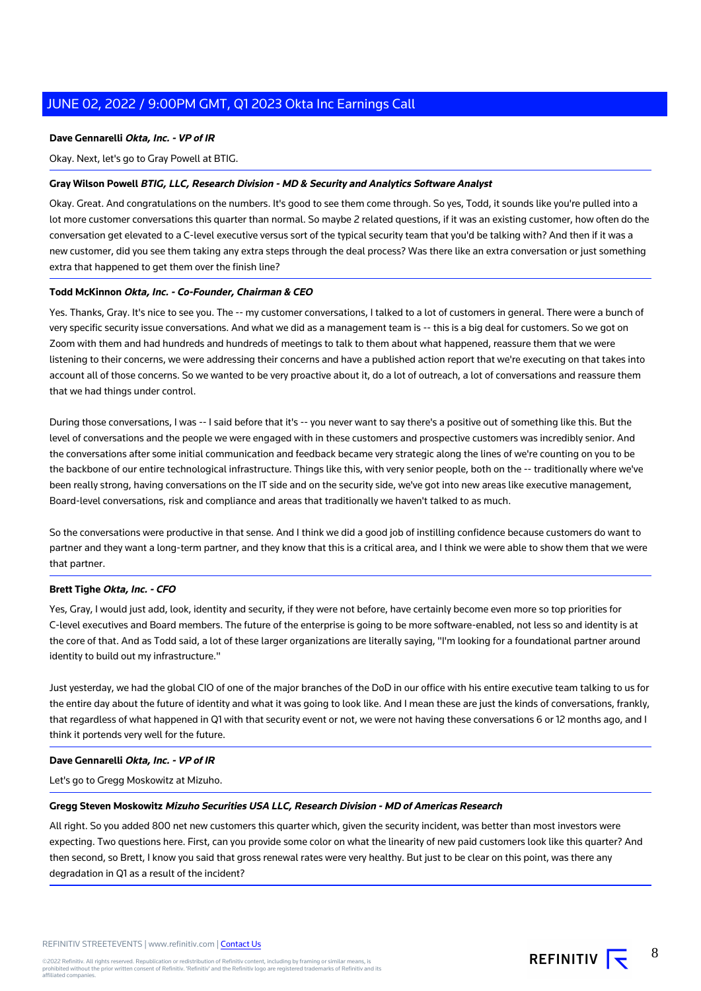### **Dave Gennarelli Okta, Inc. - VP of IR**

Okay. Next, let's go to Gray Powell at BTIG.

### **Gray Wilson Powell BTIG, LLC, Research Division - MD & Security and Analytics Software Analyst**

Okay. Great. And congratulations on the numbers. It's good to see them come through. So yes, Todd, it sounds like you're pulled into a lot more customer conversations this quarter than normal. So maybe 2 related questions, if it was an existing customer, how often do the conversation get elevated to a C-level executive versus sort of the typical security team that you'd be talking with? And then if it was a new customer, did you see them taking any extra steps through the deal process? Was there like an extra conversation or just something extra that happened to get them over the finish line?

#### **Todd McKinnon Okta, Inc. - Co-Founder, Chairman & CEO**

Yes. Thanks, Gray. It's nice to see you. The -- my customer conversations, I talked to a lot of customers in general. There were a bunch of very specific security issue conversations. And what we did as a management team is -- this is a big deal for customers. So we got on Zoom with them and had hundreds and hundreds of meetings to talk to them about what happened, reassure them that we were listening to their concerns, we were addressing their concerns and have a published action report that we're executing on that takes into account all of those concerns. So we wanted to be very proactive about it, do a lot of outreach, a lot of conversations and reassure them that we had things under control.

During those conversations, I was -- I said before that it's -- you never want to say there's a positive out of something like this. But the level of conversations and the people we were engaged with in these customers and prospective customers was incredibly senior. And the conversations after some initial communication and feedback became very strategic along the lines of we're counting on you to be the backbone of our entire technological infrastructure. Things like this, with very senior people, both on the -- traditionally where we've been really strong, having conversations on the IT side and on the security side, we've got into new areas like executive management, Board-level conversations, risk and compliance and areas that traditionally we haven't talked to as much.

So the conversations were productive in that sense. And I think we did a good job of instilling confidence because customers do want to partner and they want a long-term partner, and they know that this is a critical area, and I think we were able to show them that we were that partner.

### **Brett Tighe Okta, Inc. - CFO**

Yes, Gray, I would just add, look, identity and security, if they were not before, have certainly become even more so top priorities for C-level executives and Board members. The future of the enterprise is going to be more software-enabled, not less so and identity is at the core of that. And as Todd said, a lot of these larger organizations are literally saying, "I'm looking for a foundational partner around identity to build out my infrastructure."

Just yesterday, we had the global CIO of one of the major branches of the DoD in our office with his entire executive team talking to us for the entire day about the future of identity and what it was going to look like. And I mean these are just the kinds of conversations, frankly, that regardless of what happened in Q1 with that security event or not, we were not having these conversations 6 or 12 months ago, and I think it portends very well for the future.

# **Dave Gennarelli Okta, Inc. - VP of IR**

Let's go to Gregg Moskowitz at Mizuho.

#### **Gregg Steven Moskowitz Mizuho Securities USA LLC, Research Division - MD of Americas Research**

All right. So you added 800 net new customers this quarter which, given the security incident, was better than most investors were expecting. Two questions here. First, can you provide some color on what the linearity of new paid customers look like this quarter? And then second, so Brett, I know you said that gross renewal rates were very healthy. But just to be clear on this point, was there any degradation in Q1 as a result of the incident?

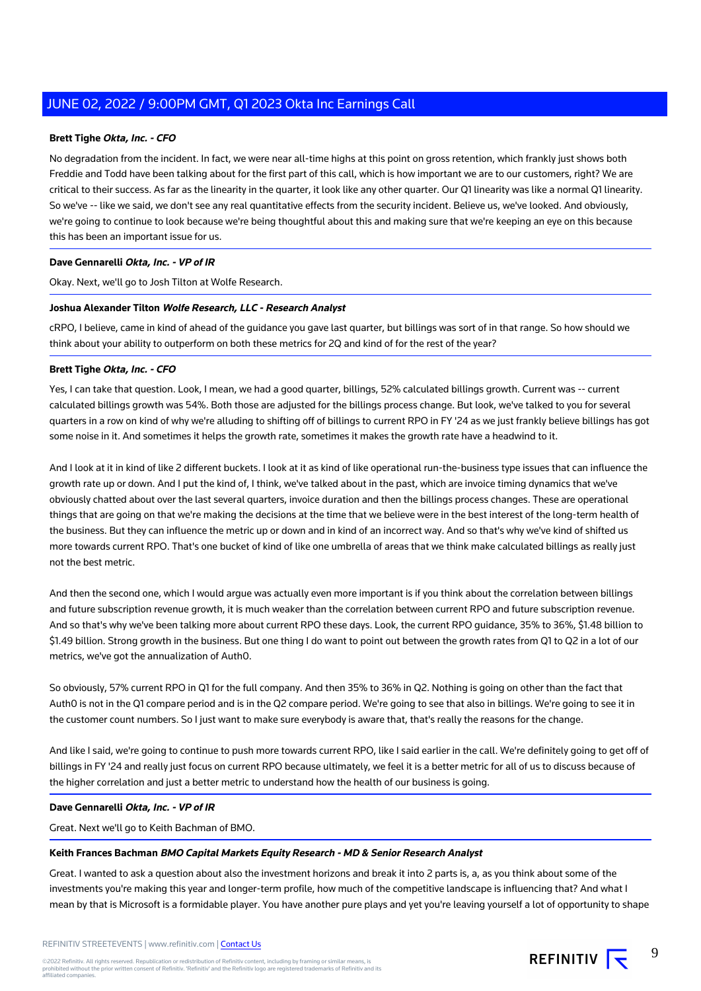### **Brett Tighe Okta, Inc. - CFO**

No degradation from the incident. In fact, we were near all-time highs at this point on gross retention, which frankly just shows both Freddie and Todd have been talking about for the first part of this call, which is how important we are to our customers, right? We are critical to their success. As far as the linearity in the quarter, it look like any other quarter. Our Q1 linearity was like a normal Q1 linearity. So we've -- like we said, we don't see any real quantitative effects from the security incident. Believe us, we've looked. And obviously, we're going to continue to look because we're being thoughtful about this and making sure that we're keeping an eye on this because this has been an important issue for us.

# **Dave Gennarelli Okta, Inc. - VP of IR**

Okay. Next, we'll go to Josh Tilton at Wolfe Research.

### **Joshua Alexander Tilton Wolfe Research, LLC - Research Analyst**

cRPO, I believe, came in kind of ahead of the guidance you gave last quarter, but billings was sort of in that range. So how should we think about your ability to outperform on both these metrics for 2Q and kind of for the rest of the year?

#### **Brett Tighe Okta, Inc. - CFO**

Yes, I can take that question. Look, I mean, we had a good quarter, billings, 52% calculated billings growth. Current was -- current calculated billings growth was 54%. Both those are adjusted for the billings process change. But look, we've talked to you for several quarters in a row on kind of why we're alluding to shifting off of billings to current RPO in FY '24 as we just frankly believe billings has got some noise in it. And sometimes it helps the growth rate, sometimes it makes the growth rate have a headwind to it.

And I look at it in kind of like 2 different buckets. I look at it as kind of like operational run-the-business type issues that can influence the growth rate up or down. And I put the kind of, I think, we've talked about in the past, which are invoice timing dynamics that we've obviously chatted about over the last several quarters, invoice duration and then the billings process changes. These are operational things that are going on that we're making the decisions at the time that we believe were in the best interest of the long-term health of the business. But they can influence the metric up or down and in kind of an incorrect way. And so that's why we've kind of shifted us more towards current RPO. That's one bucket of kind of like one umbrella of areas that we think make calculated billings as really just not the best metric.

And then the second one, which I would argue was actually even more important is if you think about the correlation between billings and future subscription revenue growth, it is much weaker than the correlation between current RPO and future subscription revenue. And so that's why we've been talking more about current RPO these days. Look, the current RPO guidance, 35% to 36%, \$1.48 billion to \$1.49 billion. Strong growth in the business. But one thing I do want to point out between the growth rates from Q1 to Q2 in a lot of our metrics, we've got the annualization of Auth0.

So obviously, 57% current RPO in Q1 for the full company. And then 35% to 36% in Q2. Nothing is going on other than the fact that Auth0 is not in the Q1 compare period and is in the Q2 compare period. We're going to see that also in billings. We're going to see it in the customer count numbers. So I just want to make sure everybody is aware that, that's really the reasons for the change.

And like I said, we're going to continue to push more towards current RPO, like I said earlier in the call. We're definitely going to get off of billings in FY '24 and really just focus on current RPO because ultimately, we feel it is a better metric for all of us to discuss because of the higher correlation and just a better metric to understand how the health of our business is going.

#### **Dave Gennarelli Okta, Inc. - VP of IR**

Great. Next we'll go to Keith Bachman of BMO.

# **Keith Frances Bachman BMO Capital Markets Equity Research - MD & Senior Research Analyst**

Great. I wanted to ask a question about also the investment horizons and break it into 2 parts is, a, as you think about some of the investments you're making this year and longer-term profile, how much of the competitive landscape is influencing that? And what I mean by that is Microsoft is a formidable player. You have another pure plays and yet you're leaving yourself a lot of opportunity to shape

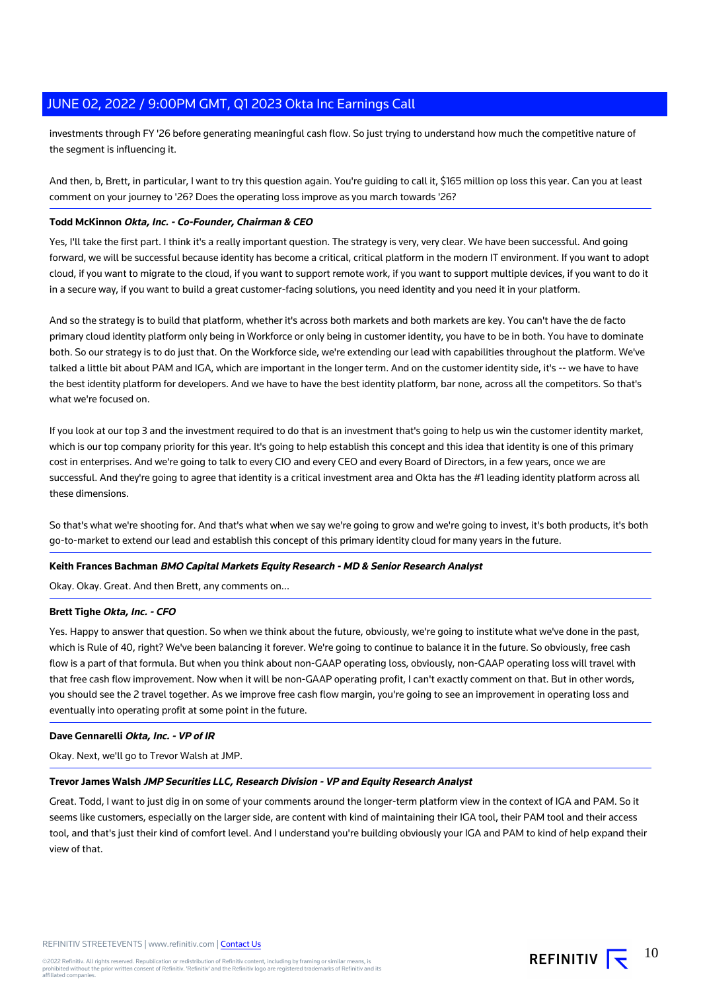investments through FY '26 before generating meaningful cash flow. So just trying to understand how much the competitive nature of the segment is influencing it.

And then, b, Brett, in particular, I want to try this question again. You're guiding to call it, \$165 million op loss this year. Can you at least comment on your journey to '26? Does the operating loss improve as you march towards '26?

#### **Todd McKinnon Okta, Inc. - Co-Founder, Chairman & CEO**

Yes, I'll take the first part. I think it's a really important question. The strategy is very, very clear. We have been successful. And going forward, we will be successful because identity has become a critical, critical platform in the modern IT environment. If you want to adopt cloud, if you want to migrate to the cloud, if you want to support remote work, if you want to support multiple devices, if you want to do it in a secure way, if you want to build a great customer-facing solutions, you need identity and you need it in your platform.

And so the strategy is to build that platform, whether it's across both markets and both markets are key. You can't have the de facto primary cloud identity platform only being in Workforce or only being in customer identity, you have to be in both. You have to dominate both. So our strategy is to do just that. On the Workforce side, we're extending our lead with capabilities throughout the platform. We've talked a little bit about PAM and IGA, which are important in the longer term. And on the customer identity side, it's -- we have to have the best identity platform for developers. And we have to have the best identity platform, bar none, across all the competitors. So that's what we're focused on.

If you look at our top 3 and the investment required to do that is an investment that's going to help us win the customer identity market, which is our top company priority for this year. It's going to help establish this concept and this idea that identity is one of this primary cost in enterprises. And we're going to talk to every CIO and every CEO and every Board of Directors, in a few years, once we are successful. And they're going to agree that identity is a critical investment area and Okta has the #1 leading identity platform across all these dimensions.

So that's what we're shooting for. And that's what when we say we're going to grow and we're going to invest, it's both products, it's both go-to-market to extend our lead and establish this concept of this primary identity cloud for many years in the future.

#### **Keith Frances Bachman BMO Capital Markets Equity Research - MD & Senior Research Analyst**

Okay. Okay. Great. And then Brett, any comments on...

#### **Brett Tighe Okta, Inc. - CFO**

Yes. Happy to answer that question. So when we think about the future, obviously, we're going to institute what we've done in the past, which is Rule of 40, right? We've been balancing it forever. We're going to continue to balance it in the future. So obviously, free cash flow is a part of that formula. But when you think about non-GAAP operating loss, obviously, non-GAAP operating loss will travel with that free cash flow improvement. Now when it will be non-GAAP operating profit, I can't exactly comment on that. But in other words, you should see the 2 travel together. As we improve free cash flow margin, you're going to see an improvement in operating loss and eventually into operating profit at some point in the future.

#### **Dave Gennarelli Okta, Inc. - VP of IR**

Okay. Next, we'll go to Trevor Walsh at JMP.

# **Trevor James Walsh JMP Securities LLC, Research Division - VP and Equity Research Analyst**

Great. Todd, I want to just dig in on some of your comments around the longer-term platform view in the context of IGA and PAM. So it seems like customers, especially on the larger side, are content with kind of maintaining their IGA tool, their PAM tool and their access tool, and that's just their kind of comfort level. And I understand you're building obviously your IGA and PAM to kind of help expand their view of that.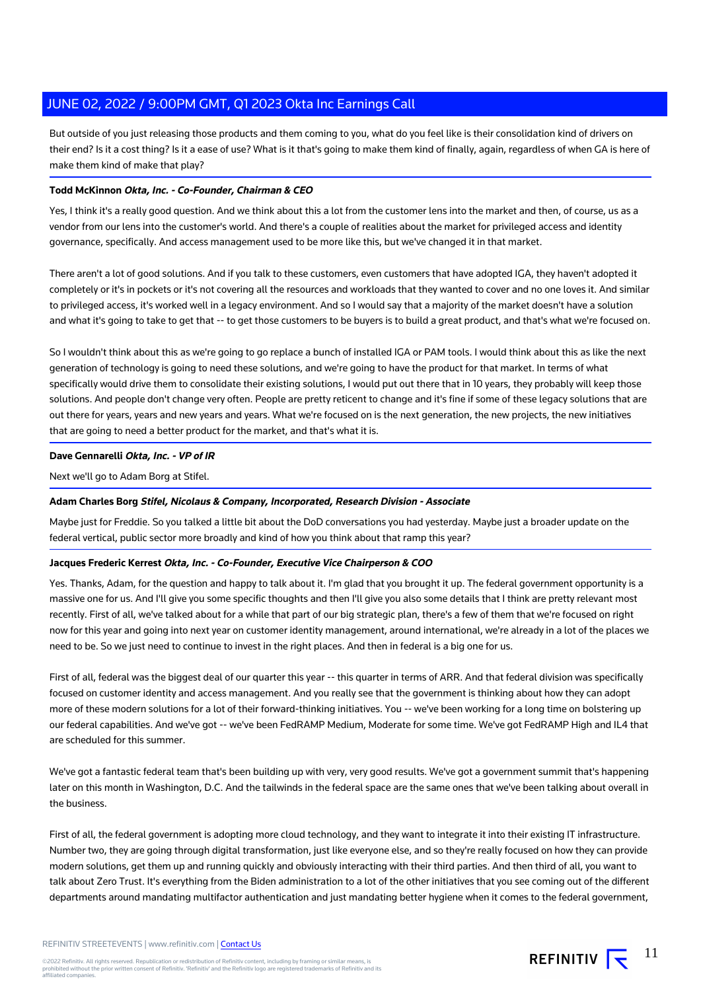But outside of you just releasing those products and them coming to you, what do you feel like is their consolidation kind of drivers on their end? Is it a cost thing? Is it a ease of use? What is it that's going to make them kind of finally, again, regardless of when GA is here of make them kind of make that play?

# **Todd McKinnon Okta, Inc. - Co-Founder, Chairman & CEO**

Yes, I think it's a really good question. And we think about this a lot from the customer lens into the market and then, of course, us as a vendor from our lens into the customer's world. And there's a couple of realities about the market for privileged access and identity governance, specifically. And access management used to be more like this, but we've changed it in that market.

There aren't a lot of good solutions. And if you talk to these customers, even customers that have adopted IGA, they haven't adopted it completely or it's in pockets or it's not covering all the resources and workloads that they wanted to cover and no one loves it. And similar to privileged access, it's worked well in a legacy environment. And so I would say that a majority of the market doesn't have a solution and what it's going to take to get that -- to get those customers to be buyers is to build a great product, and that's what we're focused on.

So I wouldn't think about this as we're going to go replace a bunch of installed IGA or PAM tools. I would think about this as like the next generation of technology is going to need these solutions, and we're going to have the product for that market. In terms of what specifically would drive them to consolidate their existing solutions, I would put out there that in 10 years, they probably will keep those solutions. And people don't change very often. People are pretty reticent to change and it's fine if some of these legacy solutions that are out there for years, years and new years and years. What we're focused on is the next generation, the new projects, the new initiatives that are going to need a better product for the market, and that's what it is.

# **Dave Gennarelli Okta, Inc. - VP of IR**

Next we'll go to Adam Borg at Stifel.

# **Adam Charles Borg Stifel, Nicolaus & Company, Incorporated, Research Division - Associate**

Maybe just for Freddie. So you talked a little bit about the DoD conversations you had yesterday. Maybe just a broader update on the federal vertical, public sector more broadly and kind of how you think about that ramp this year?

# **Jacques Frederic Kerrest Okta, Inc. - Co-Founder, Executive Vice Chairperson & COO**

Yes. Thanks, Adam, for the question and happy to talk about it. I'm glad that you brought it up. The federal government opportunity is a massive one for us. And I'll give you some specific thoughts and then I'll give you also some details that I think are pretty relevant most recently. First of all, we've talked about for a while that part of our big strategic plan, there's a few of them that we're focused on right now for this year and going into next year on customer identity management, around international, we're already in a lot of the places we need to be. So we just need to continue to invest in the right places. And then in federal is a big one for us.

First of all, federal was the biggest deal of our quarter this year -- this quarter in terms of ARR. And that federal division was specifically focused on customer identity and access management. And you really see that the government is thinking about how they can adopt more of these modern solutions for a lot of their forward-thinking initiatives. You -- we've been working for a long time on bolstering up our federal capabilities. And we've got -- we've been FedRAMP Medium, Moderate for some time. We've got FedRAMP High and IL4 that are scheduled for this summer.

We've got a fantastic federal team that's been building up with very, very good results. We've got a government summit that's happening later on this month in Washington, D.C. And the tailwinds in the federal space are the same ones that we've been talking about overall in the business.

First of all, the federal government is adopting more cloud technology, and they want to integrate it into their existing IT infrastructure. Number two, they are going through digital transformation, just like everyone else, and so they're really focused on how they can provide modern solutions, get them up and running quickly and obviously interacting with their third parties. And then third of all, you want to talk about Zero Trust. It's everything from the Biden administration to a lot of the other initiatives that you see coming out of the different departments around mandating multifactor authentication and just mandating better hygiene when it comes to the federal government,

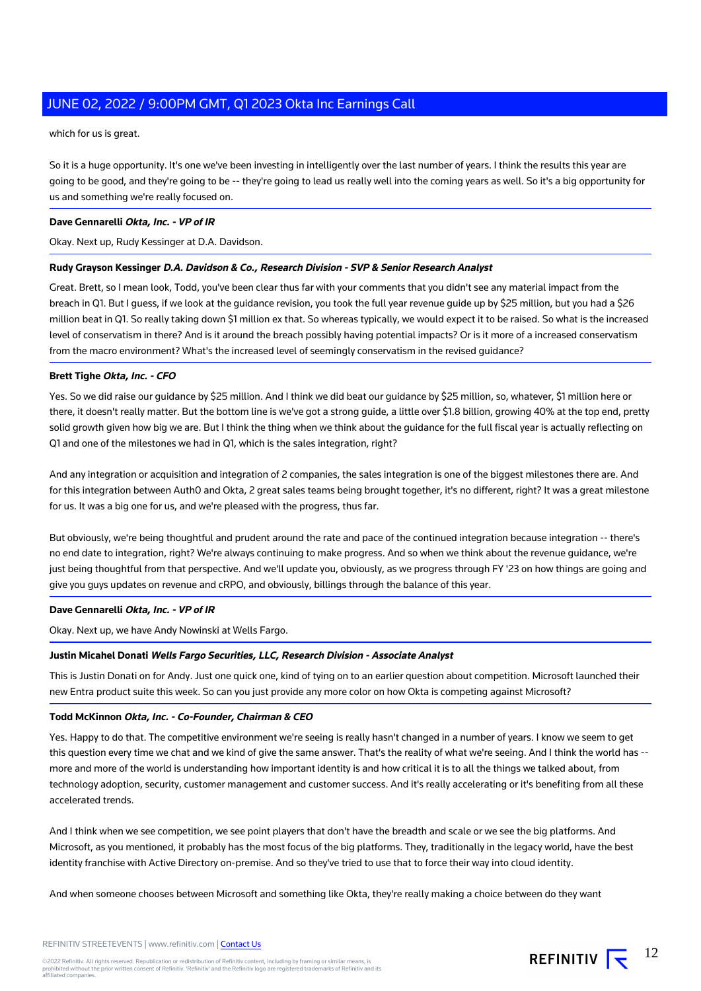which for us is great.

So it is a huge opportunity. It's one we've been investing in intelligently over the last number of years. I think the results this year are going to be good, and they're going to be -- they're going to lead us really well into the coming years as well. So it's a big opportunity for us and something we're really focused on.

### **Dave Gennarelli Okta, Inc. - VP of IR**

Okay. Next up, Rudy Kessinger at D.A. Davidson.

# **Rudy Grayson Kessinger D.A. Davidson & Co., Research Division - SVP & Senior Research Analyst**

Great. Brett, so I mean look, Todd, you've been clear thus far with your comments that you didn't see any material impact from the breach in Q1. But I guess, if we look at the guidance revision, you took the full year revenue guide up by \$25 million, but you had a \$26 million beat in Q1. So really taking down \$1 million ex that. So whereas typically, we would expect it to be raised. So what is the increased level of conservatism in there? And is it around the breach possibly having potential impacts? Or is it more of a increased conservatism from the macro environment? What's the increased level of seemingly conservatism in the revised guidance?

#### **Brett Tighe Okta, Inc. - CFO**

Yes. So we did raise our guidance by \$25 million. And I think we did beat our guidance by \$25 million, so, whatever, \$1 million here or there, it doesn't really matter. But the bottom line is we've got a strong guide, a little over \$1.8 billion, growing 40% at the top end, pretty solid growth given how big we are. But I think the thing when we think about the guidance for the full fiscal year is actually reflecting on Q1 and one of the milestones we had in Q1, which is the sales integration, right?

And any integration or acquisition and integration of 2 companies, the sales integration is one of the biggest milestones there are. And for this integration between Auth0 and Okta, 2 great sales teams being brought together, it's no different, right? It was a great milestone for us. It was a big one for us, and we're pleased with the progress, thus far.

But obviously, we're being thoughtful and prudent around the rate and pace of the continued integration because integration -- there's no end date to integration, right? We're always continuing to make progress. And so when we think about the revenue guidance, we're just being thoughtful from that perspective. And we'll update you, obviously, as we progress through FY '23 on how things are going and give you guys updates on revenue and cRPO, and obviously, billings through the balance of this year.

### **Dave Gennarelli Okta, Inc. - VP of IR**

Okay. Next up, we have Andy Nowinski at Wells Fargo.

# **Justin Micahel Donati Wells Fargo Securities, LLC, Research Division - Associate Analyst**

This is Justin Donati on for Andy. Just one quick one, kind of tying on to an earlier question about competition. Microsoft launched their new Entra product suite this week. So can you just provide any more color on how Okta is competing against Microsoft?

# **Todd McKinnon Okta, Inc. - Co-Founder, Chairman & CEO**

Yes. Happy to do that. The competitive environment we're seeing is really hasn't changed in a number of years. I know we seem to get this question every time we chat and we kind of give the same answer. That's the reality of what we're seeing. And I think the world has -more and more of the world is understanding how important identity is and how critical it is to all the things we talked about, from technology adoption, security, customer management and customer success. And it's really accelerating or it's benefiting from all these accelerated trends.

And I think when we see competition, we see point players that don't have the breadth and scale or we see the big platforms. And Microsoft, as you mentioned, it probably has the most focus of the big platforms. They, traditionally in the legacy world, have the best identity franchise with Active Directory on-premise. And so they've tried to use that to force their way into cloud identity.

And when someone chooses between Microsoft and something like Okta, they're really making a choice between do they want

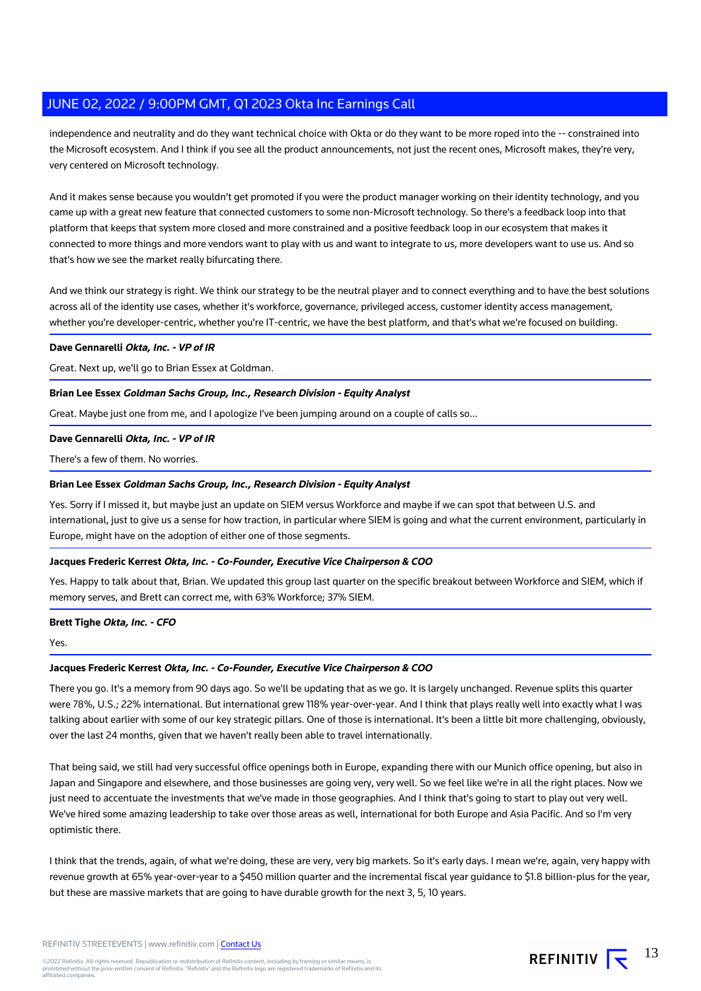independence and neutrality and do they want technical choice with Okta or do they want to be more roped into the -- constrained into the Microsoft ecosystem. And I think if you see all the product announcements, not just the recent ones, Microsoft makes, they're very, very centered on Microsoft technology.

And it makes sense because you wouldn't get promoted if you were the product manager working on their identity technology, and you came up with a great new feature that connected customers to some non-Microsoft technology. So there's a feedback loop into that platform that keeps that system more closed and more constrained and a positive feedback loop in our ecosystem that makes it connected to more things and more vendors want to play with us and want to integrate to us, more developers want to use us. And so that's how we see the market really bifurcating there.

And we think our strategy is right. We think our strategy to be the neutral player and to connect everything and to have the best solutions across all of the identity use cases, whether it's workforce, governance, privileged access, customer identity access management, whether you're developer-centric, whether you're IT-centric, we have the best platform, and that's what we're focused on building.

#### **Dave Gennarelli Okta, Inc. - VP of IR**

Great. Next up, we'll go to Brian Essex at Goldman.

# **Brian Lee Essex Goldman Sachs Group, Inc., Research Division - Equity Analyst**

Great. Maybe just one from me, and I apologize I've been jumping around on a couple of calls so...

#### **Dave Gennarelli Okta, Inc. - VP of IR**

There's a few of them. No worries.

#### **Brian Lee Essex Goldman Sachs Group, Inc., Research Division - Equity Analyst**

Yes. Sorry if I missed it, but maybe just an update on SIEM versus Workforce and maybe if we can spot that between U.S. and international, just to give us a sense for how traction, in particular where SIEM is going and what the current environment, particularly in Europe, might have on the adoption of either one of those segments.

# **Jacques Frederic Kerrest Okta, Inc. - Co-Founder, Executive Vice Chairperson & COO**

Yes. Happy to talk about that, Brian. We updated this group last quarter on the specific breakout between Workforce and SIEM, which if memory serves, and Brett can correct me, with 63% Workforce; 37% SIEM.

# **Brett Tighe Okta, Inc. - CFO**

Yes.

# **Jacques Frederic Kerrest Okta, Inc. - Co-Founder, Executive Vice Chairperson & COO**

There you go. It's a memory from 90 days ago. So we'll be updating that as we go. It is largely unchanged. Revenue splits this quarter were 78%, U.S.; 22% international. But international grew 118% year-over-year. And I think that plays really well into exactly what I was talking about earlier with some of our key strategic pillars. One of those is international. It's been a little bit more challenging, obviously, over the last 24 months, given that we haven't really been able to travel internationally.

That being said, we still had very successful office openings both in Europe, expanding there with our Munich office opening, but also in Japan and Singapore and elsewhere, and those businesses are going very, very well. So we feel like we're in all the right places. Now we just need to accentuate the investments that we've made in those geographies. And I think that's going to start to play out very well. We've hired some amazing leadership to take over those areas as well, international for both Europe and Asia Pacific. And so I'm very optimistic there.

I think that the trends, again, of what we're doing, these are very, very big markets. So it's early days. I mean we're, again, very happy with revenue growth at 65% year-over-year to a \$450 million quarter and the incremental fiscal year guidance to \$1.8 billion-plus for the year, but these are massive markets that are going to have durable growth for the next 3, 5, 10 years.

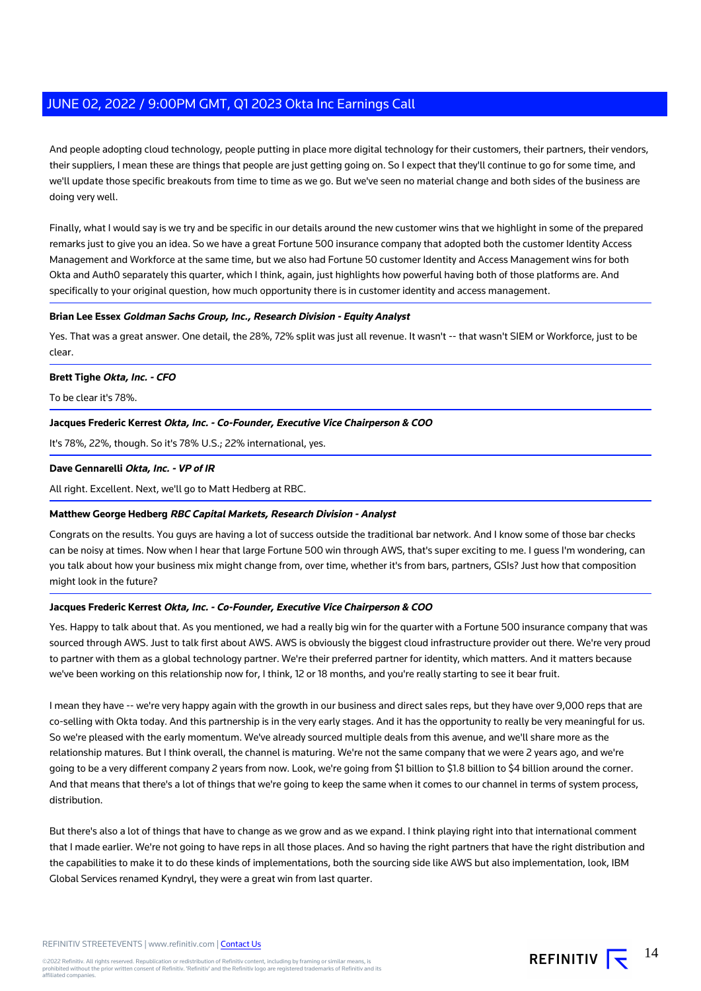And people adopting cloud technology, people putting in place more digital technology for their customers, their partners, their vendors, their suppliers, I mean these are things that people are just getting going on. So I expect that they'll continue to go for some time, and we'll update those specific breakouts from time to time as we go. But we've seen no material change and both sides of the business are doing very well.

Finally, what I would say is we try and be specific in our details around the new customer wins that we highlight in some of the prepared remarks just to give you an idea. So we have a great Fortune 500 insurance company that adopted both the customer Identity Access Management and Workforce at the same time, but we also had Fortune 50 customer Identity and Access Management wins for both Okta and Auth0 separately this quarter, which I think, again, just highlights how powerful having both of those platforms are. And specifically to your original question, how much opportunity there is in customer identity and access management.

### **Brian Lee Essex Goldman Sachs Group, Inc., Research Division - Equity Analyst**

Yes. That was a great answer. One detail, the 28%, 72% split was just all revenue. It wasn't -- that wasn't SIEM or Workforce, just to be clear.

#### **Brett Tighe Okta, Inc. - CFO**

To be clear it's 78%.

#### **Jacques Frederic Kerrest Okta, Inc. - Co-Founder, Executive Vice Chairperson & COO**

It's 78%, 22%, though. So it's 78% U.S.; 22% international, yes.

#### **Dave Gennarelli Okta, Inc. - VP of IR**

All right. Excellent. Next, we'll go to Matt Hedberg at RBC.

#### **Matthew George Hedberg RBC Capital Markets, Research Division - Analyst**

Congrats on the results. You guys are having a lot of success outside the traditional bar network. And I know some of those bar checks can be noisy at times. Now when I hear that large Fortune 500 win through AWS, that's super exciting to me. I guess I'm wondering, can you talk about how your business mix might change from, over time, whether it's from bars, partners, GSIs? Just how that composition might look in the future?

#### **Jacques Frederic Kerrest Okta, Inc. - Co-Founder, Executive Vice Chairperson & COO**

Yes. Happy to talk about that. As you mentioned, we had a really big win for the quarter with a Fortune 500 insurance company that was sourced through AWS. Just to talk first about AWS. AWS is obviously the biggest cloud infrastructure provider out there. We're very proud to partner with them as a global technology partner. We're their preferred partner for identity, which matters. And it matters because we've been working on this relationship now for, I think, 12 or 18 months, and you're really starting to see it bear fruit.

I mean they have -- we're very happy again with the growth in our business and direct sales reps, but they have over 9,000 reps that are co-selling with Okta today. And this partnership is in the very early stages. And it has the opportunity to really be very meaningful for us. So we're pleased with the early momentum. We've already sourced multiple deals from this avenue, and we'll share more as the relationship matures. But I think overall, the channel is maturing. We're not the same company that we were 2 years ago, and we're going to be a very different company 2 years from now. Look, we're going from \$1 billion to \$1.8 billion to \$4 billion around the corner. And that means that there's a lot of things that we're going to keep the same when it comes to our channel in terms of system process, distribution.

But there's also a lot of things that have to change as we grow and as we expand. I think playing right into that international comment that I made earlier. We're not going to have reps in all those places. And so having the right partners that have the right distribution and the capabilities to make it to do these kinds of implementations, both the sourcing side like AWS but also implementation, look, IBM Global Services renamed Kyndryl, they were a great win from last quarter.

REFINITIV STREETEVENTS | www.refinitiv.com | [Contact Us](https://www.refinitiv.com/en/contact-us)

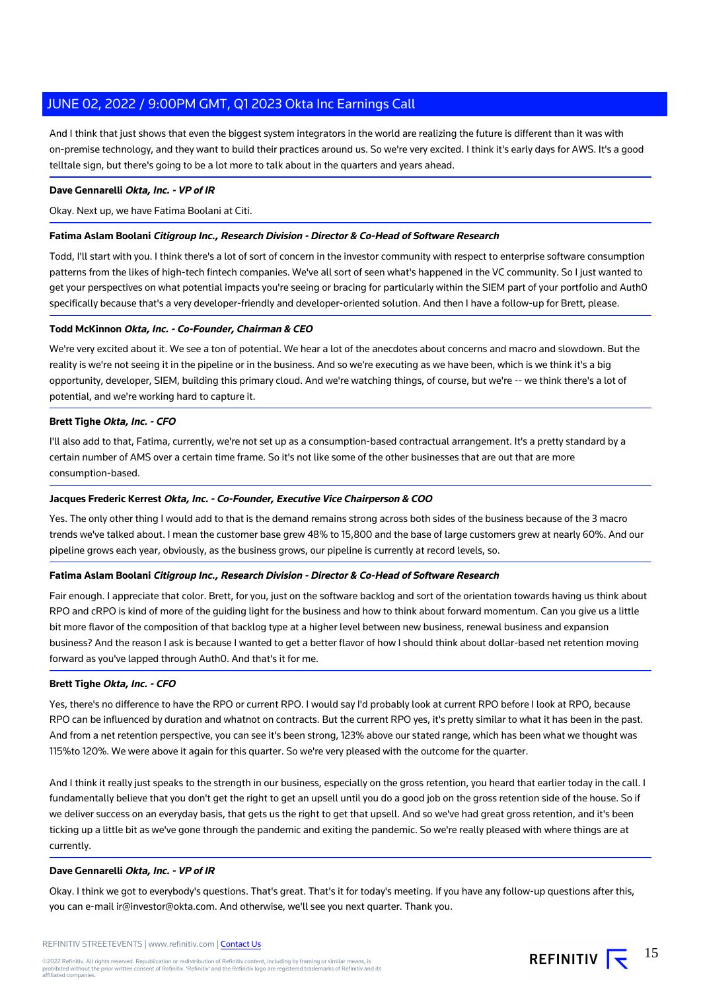And I think that just shows that even the biggest system integrators in the world are realizing the future is different than it was with on-premise technology, and they want to build their practices around us. So we're very excited. I think it's early days for AWS. It's a good telltale sign, but there's going to be a lot more to talk about in the quarters and years ahead.

# **Dave Gennarelli Okta, Inc. - VP of IR**

Okay. Next up, we have Fatima Boolani at Citi.

# **Fatima Aslam Boolani Citigroup Inc., Research Division - Director & Co-Head of Software Research**

Todd, I'll start with you. I think there's a lot of sort of concern in the investor community with respect to enterprise software consumption patterns from the likes of high-tech fintech companies. We've all sort of seen what's happened in the VC community. So I just wanted to get your perspectives on what potential impacts you're seeing or bracing for particularly within the SIEM part of your portfolio and Auth0 specifically because that's a very developer-friendly and developer-oriented solution. And then I have a follow-up for Brett, please.

# **Todd McKinnon Okta, Inc. - Co-Founder, Chairman & CEO**

We're very excited about it. We see a ton of potential. We hear a lot of the anecdotes about concerns and macro and slowdown. But the reality is we're not seeing it in the pipeline or in the business. And so we're executing as we have been, which is we think it's a big opportunity, developer, SIEM, building this primary cloud. And we're watching things, of course, but we're -- we think there's a lot of potential, and we're working hard to capture it.

# **Brett Tighe Okta, Inc. - CFO**

I'll also add to that, Fatima, currently, we're not set up as a consumption-based contractual arrangement. It's a pretty standard by a certain number of AMS over a certain time frame. So it's not like some of the other businesses that are out that are more consumption-based.

#### **Jacques Frederic Kerrest Okta, Inc. - Co-Founder, Executive Vice Chairperson & COO**

Yes. The only other thing I would add to that is the demand remains strong across both sides of the business because of the 3 macro trends we've talked about. I mean the customer base grew 48% to 15,800 and the base of large customers grew at nearly 60%. And our pipeline grows each year, obviously, as the business grows, our pipeline is currently at record levels, so.

# **Fatima Aslam Boolani Citigroup Inc., Research Division - Director & Co-Head of Software Research**

Fair enough. I appreciate that color. Brett, for you, just on the software backlog and sort of the orientation towards having us think about RPO and cRPO is kind of more of the guiding light for the business and how to think about forward momentum. Can you give us a little bit more flavor of the composition of that backlog type at a higher level between new business, renewal business and expansion business? And the reason I ask is because I wanted to get a better flavor of how I should think about dollar-based net retention moving forward as you've lapped through Auth0. And that's it for me.

#### **Brett Tighe Okta, Inc. - CFO**

Yes, there's no difference to have the RPO or current RPO. I would say I'd probably look at current RPO before I look at RPO, because RPO can be influenced by duration and whatnot on contracts. But the current RPO yes, it's pretty similar to what it has been in the past. And from a net retention perspective, you can see it's been strong, 123% above our stated range, which has been what we thought was 115%to 120%. We were above it again for this quarter. So we're very pleased with the outcome for the quarter.

And I think it really just speaks to the strength in our business, especially on the gross retention, you heard that earlier today in the call. I fundamentally believe that you don't get the right to get an upsell until you do a good job on the gross retention side of the house. So if we deliver success on an everyday basis, that gets us the right to get that upsell. And so we've had great gross retention, and it's been ticking up a little bit as we've gone through the pandemic and exiting the pandemic. So we're really pleased with where things are at currently.

# **Dave Gennarelli Okta, Inc. - VP of IR**

Okay. I think we got to everybody's questions. That's great. That's it for today's meeting. If you have any follow-up questions after this, you can e-mail ir@investor@okta.com. And otherwise, we'll see you next quarter. Thank you.